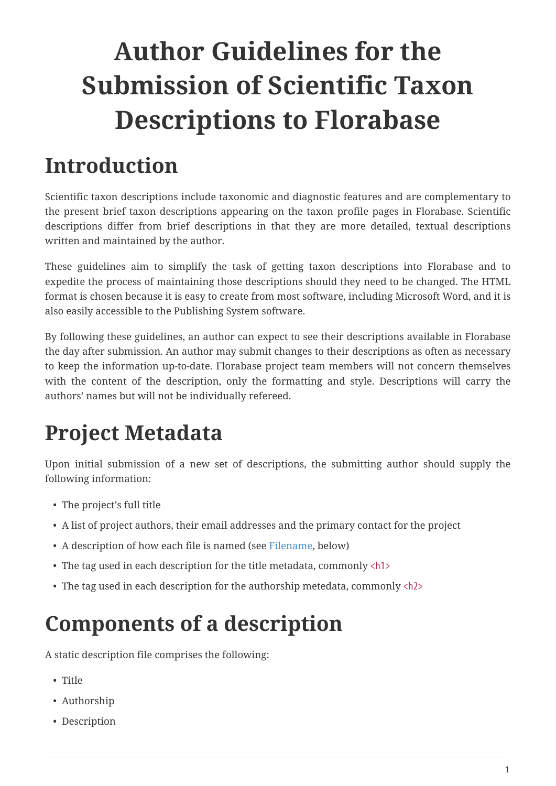# **Author Guidelines for the Submission of Scientific Taxon Descriptions to Florabase**

# **Introduction**

Scientific taxon descriptions include taxonomic and diagnostic features and are complementary to the present brief taxon descriptions appearing on the taxon profile pages in Florabase. Scientific descriptions differ from brief descriptions in that they are more detailed, textual descriptions written and maintained by the author.

These guidelines aim to simplify the task of getting taxon descriptions into Florabase and to expedite the process of maintaining those descriptions should they need to be changed. The HTML format is chosen because it is easy to create from most software, including Microsoft Word, and it is also easily accessible to the Publishing System software.

By following these guidelines, an author can expect to see their descriptions available in Florabase the day after submission. An author may submit changes to their descriptions as often as necessary to keep the information up-to-date. Florabase project team members will not concern themselves with the content of the description, only the formatting and style. Descriptions will carry the authors' names but will not be individually refereed.

# **Project Metadata**

Upon initial submission of a new set of descriptions, the submitting author should supply the following information:

- The project's full title
- A list of project authors, their email addresses and the primary contact for the project
- A description of how each file is named (see [Filename,](#page-1-0) below)
- The tag used in each description for the title metadata, commonly <h1>
- The tag used in each description for the authorship metedata, commonly <h2>

# **Components of a description**

A static description file comprises the following:

- Title
- Authorship
- Description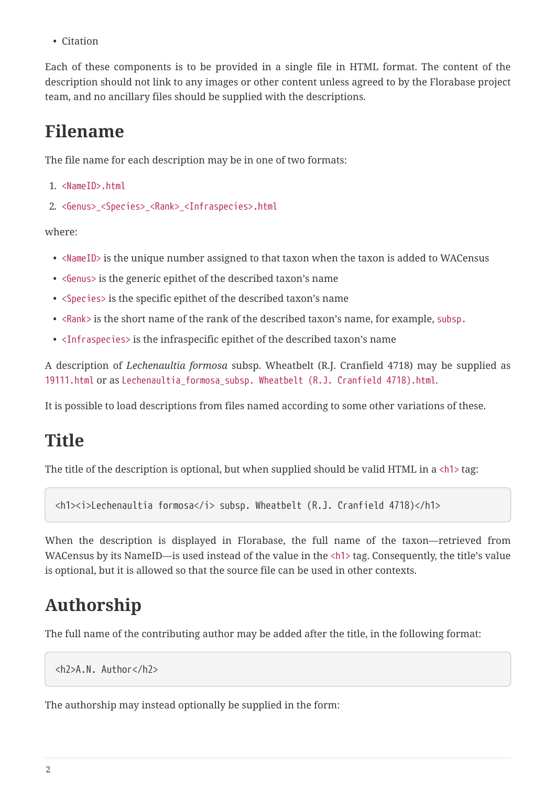• Citation

Each of these components is to be provided in a single file in HTML format. The content of the description should not link to any images or other content unless agreed to by the Florabase project team, and no ancillary files should be supplied with the descriptions.

#### <span id="page-1-0"></span>**Filename**

The file name for each description may be in one of two formats:

```
1. <NameID>.html
```

```
2. <Genus>_<Species>_<Rank>_<Infraspecies>.html
```
where:

- <NameID> is the unique number assigned to that taxon when the taxon is added to WACensus
- <Genus> is the generic epithet of the described taxon's name
- <Species> is the specific epithet of the described taxon's name
- <Rank> is the short name of the rank of the described taxon's name, for example, subsp.
- <Infraspecies> is the infraspecific epithet of the described taxon's name

A description of *Lechenaultia formosa* subsp. Wheatbelt (R.J. Cranfield 4718) may be supplied as 19111.html or as Lechenaultia\_formosa\_subsp. Wheatbelt (R.J. Cranfield 4718).html.

It is possible to load descriptions from files named according to some other variations of these.

#### **Title**

The title of the description is optional, but when supplied should be valid HTML in a <h1> tag:

<h1><i>Lechenaultia formosa</i> subsp. Wheatbelt (R.J. Cranfield 4718)</h1>

When the description is displayed in Florabase, the full name of the taxon—retrieved from WACensus by its NameID—is used instead of the value in the <h1> tag. Consequently, the title's value is optional, but it is allowed so that the source file can be used in other contexts.

#### **Authorship**

The full name of the contributing author may be added after the title, in the following format:

```
<h2>A.N. Author</h2>
```
The authorship may instead optionally be supplied in the form: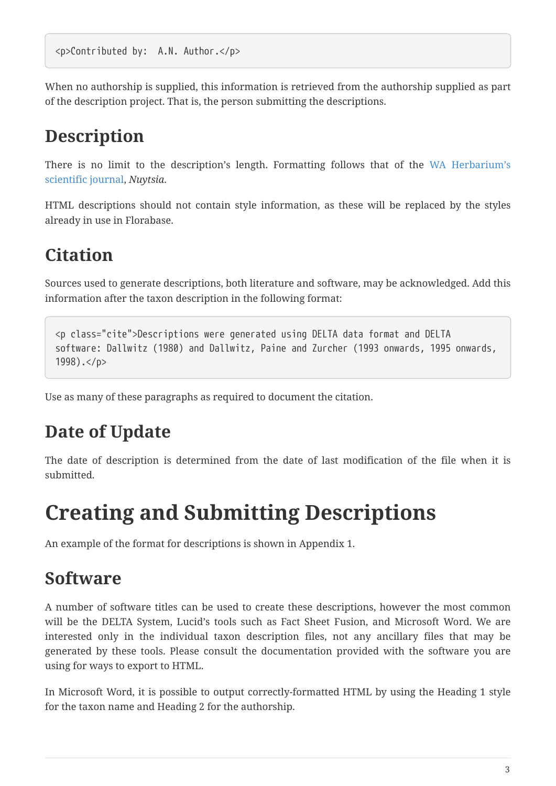When no authorship is supplied, this information is retrieved from the authorship supplied as part of the description project. That is, the person submitting the descriptions.

#### **Description**

There is no limit to the description's length. Formatting follows that of the [WA Herbarium's](https://florabase.dpaw.wa.gov.au/nuytsia/authors) [scientific journal,](https://florabase.dpaw.wa.gov.au/nuytsia/authors) *Nuytsia*.

HTML descriptions should not contain style information, as these will be replaced by the styles already in use in Florabase.

### **Citation**

Sources used to generate descriptions, both literature and software, may be acknowledged. Add this information after the taxon description in the following format:

```
<p class="cite">Descriptions were generated using DELTA data format and DELTA
software: Dallwitz (1980) and Dallwitz, Paine and Zurcher (1993 onwards, 1995 onwards,
1998).</p>
```
Use as many of these paragraphs as required to document the citation.

#### **Date of Update**

The date of description is determined from the date of last modification of the file when it is submitted.

### **Creating and Submitting Descriptions**

An example of the format for descriptions is shown in Appendix 1.

#### **Software**

A number of software titles can be used to create these descriptions, however the most common will be the DELTA System, Lucid's tools such as Fact Sheet Fusion, and Microsoft Word. We are interested only in the individual taxon description files, not any ancillary files that may be generated by these tools. Please consult the documentation provided with the software you are using for ways to export to HTML.

In Microsoft Word, it is possible to output correctly-formatted HTML by using the Heading 1 style for the taxon name and Heading 2 for the authorship.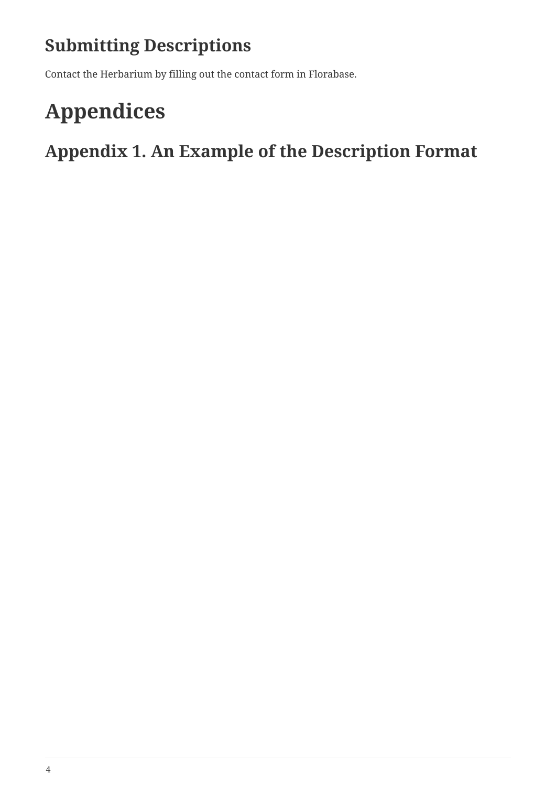### **Submitting Descriptions**

Contact the Herbarium by filling out the contact form in Florabase.

### **Appendices**

**Appendix 1. An Example of the Description Format**